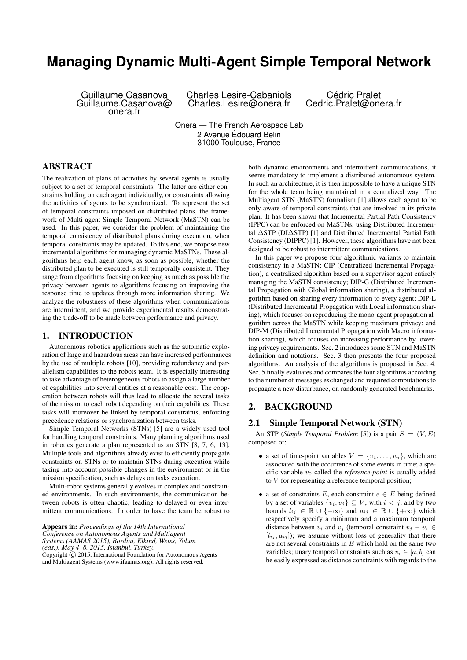# **Managing Dynamic Multi-Agent Simple Temporal Network**

Guillaume Casanova Guillaume.Casanova@ onera.fr

Charles Lesire-Cabaniols Charles.Lesire@onera.fr

Cédric Pralet Cedric.Pralet@onera.fr

Onera — The French Aerospace Lab 2 Avenue Édouard Belin 31000 Toulouse, France

# ABSTRACT

The realization of plans of activities by several agents is usually subject to a set of temporal constraints. The latter are either constraints holding on each agent individually, or constraints allowing the activities of agents to be synchronized. To represent the set of temporal constraints imposed on distributed plans, the framework of Multi-agent Simple Temporal Network (MaSTN) can be used. In this paper, we consider the problem of maintaining the temporal consistency of distributed plans during execution, when temporal constraints may be updated. To this end, we propose new incremental algorithms for managing dynamic MaSTNs. These algorithms help each agent know, as soon as possible, whether the distributed plan to be executed is still temporally consistent. They range from algorithms focusing on keeping as much as possible the privacy between agents to algorithms focusing on improving the response time to updates through more information sharing. We analyze the robustness of these algorithms when communications are intermittent, and we provide experimental results demonstrating the trade-off to be made between performance and privacy.

#### 1. INTRODUCTION

Autonomous robotics applications such as the automatic exploration of large and hazardous areas can have increased performances by the use of multiple robots [10], providing redundancy and parallelism capabilities to the robots team. It is especially interesting to take advantage of heterogeneous robots to assign a large number of capabilities into several entities at a reasonable cost. The cooperation between robots will thus lead to allocate the several tasks of the mission to each robot depending on their capabilities. These tasks will moreover be linked by temporal constraints, enforcing precedence relations or synchronization between tasks.

Simple Temporal Networks (STNs) [5] are a widely used tool for handling temporal constraints. Many planning algorithms used in robotics generate a plan represented as an STN [8, 7, 6, 13]. Multiple tools and algorithms already exist to efficiently propagate constraints on STNs or to maintain STNs during execution while taking into account possible changes in the environment or in the mission specification, such as delays on tasks execution.

Multi-robot systems generally evolves in complex and constrained environments. In such environments, the communication between robots is often chaotic, leading to delayed or even intermittent communications. In order to have the team be robust to

Appears in: *Proceedings of the 14th International Conference on Autonomous Agents and Multiagent Systems (AAMAS 2015), Bordini, Elkind, Weiss, Yolum (eds.), May 4–8, 2015, Istanbul, Turkey.* Copyright  $\overline{c}$  2015, International Foundation for Autonomous Agents and Multiagent Systems (www.ifaamas.org). All rights reserved.

both dynamic environments and intermittent communications, it seems mandatory to implement a distributed autonomous system. In such an architecture, it is then impossible to have a unique STN for the whole team being maintained in a centralized way. The Multiagent STN (MaSTN) formalism [1] allows each agent to be only aware of temporal constraints that are involved in its private plan. It has been shown that Incremental Partial Path Consistency (IPPC) can be enforced on MaSTNs, using Distributed Incremental ∆STP (DI∆STP) [1] and Distributed Incremental Partial Path Consistency (DIPPC) [1]. However, these algorithms have not been designed to be robust to intermittent communications.

In this paper we propose four algorithmic variants to maintain consistency in a MaSTN: CIP (Centralized Incremental Propagation), a centralized algorithm based on a supervisor agent entirely managing the MaSTN consistency; DIP-G (Distributed Incremental Propagation with Global information sharing), a distributed algorithm based on sharing every information to every agent; DIP-L (Distributed Incremental Propagation with Local information sharing), which focuses on reproducing the mono-agent propagation algorithm across the MaSTN while keeping maximum privacy; and DIP-M (Distributed Incremental Propagation with Macro information sharing), which focuses on increasing performance by lowering privacy requirements. Sec. 2 introduces some STN and MaSTN definition and notations. Sec. 3 then presents the four proposed algorithms. An analysis of the algorithms is proposed in Sec. 4. Sec. 5 finally evaluates and compares the four algorithms according to the number of messages exchanged and required computations to propagate a new disturbance, on randomly generated benchmarks.

## 2. BACKGROUND

#### 2.1 Simple Temporal Network (STN)

An STP (*Simple Temporal Problem* [5]) is a pair  $S = (V, E)$ composed of:

- a set of time-point variables  $V = \{v_1, \ldots, v_n\}$ , which are associated with the occurrence of some events in time; a specific variable  $v_0$  called the *reference-point* is usually added to V for representing a reference temporal position;
- a set of constraints E, each constraint  $e \in E$  being defined by a set of variables  $\{v_i, v_j\} \subseteq V$ , with  $i < j$ , and by two bounds  $l_{ij} \in \mathbb{R} \cup \{-\infty\}$  and  $u_{ij} \in \mathbb{R} \cup \{+\infty\}$  which respectively specify a minimum and a maximum temporal distance between  $v_i$  and  $v_j$  (temporal constraint  $v_j - v_i \in$  $[l_{ij}, u_{ij}]$ ); we assume without loss of generality that there are not several constraints in  $E$  which hold on the same two variables; unary temporal constraints such as  $v_i \in [a, b]$  can be easily expressed as distance constraints with regards to the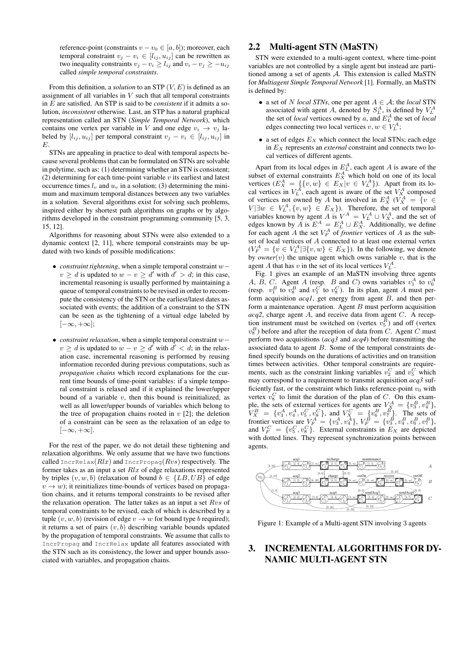reference-point (constraints  $v - v_0 \in [a, b]$ ); moreover, each temporal constraint  $v_j - v_i \in [l_{ij}, u_{ij}]$  can be rewritten as two inequality constraints  $v_j - v_i \ge l_{ij}$  and  $v_i - v_j \ge -u_{ij}$ called *simple temporal constraints*.

From this definition, a *solution* to an STP (V, E) is defined as an assignment of all variables in  $V$  such that all temporal constraints in E are satisfied. An STP is said to be *consistent* if it admits a solution, *inconsistent* otherwise. Last, an STP has a natural graphical representation called an STN (*Simple Temporal Network*), which contains one vertex per variable in V and one edge  $v_i \rightarrow v_j$  labeled by  $[l_{ij}, u_{ij}]$  per temporal constraint  $v_j - v_i \in [l_{ij}, u_{ij}]$  in E.

STNs are appealing in practice to deal with temporal aspects because several problems that can be formulated on STNs are solvable in polytime, such as: (1) determining whether an STN is consistent; (2) determining for each time-point variable  $v$  its earliest and latest occurrence times  $l_v$  and  $u_v$  in a solution; (3) determining the minimum and maximum temporal distances between any two variables in a solution. Several algorithms exist for solving such problems, inspired either by shortest path algorithms on graphs or by algorithms developed in the constraint programming community [5, 3, 15, 12].

Algorithms for reasoning about STNs were also extended to a dynamic context [2, 11], where temporal constraints may be updated with two kinds of possible modifications:

- *constraint tightening*, when a simple temporal constraint w−  $v \ge d$  is updated to  $w - v \ge d'$  with  $d' > d$ ; in this case, incremental reasoning is usually performed by maintaining a queue of temporal constraints to be revised in order to recompute the consistency of the STN or the earliest/latest dates associated with events; the addition of a constraint to the STN can be seen as the tightening of a virtual edge labeled by  $[-\infty, +\infty]$ ;
- *constraint relaxation*, when a simple temporal constraint w−  $v \ge d$  is updated to  $w - v \ge d'$  with  $d' < d$ ; in the relaxation case, incremental reasoning is performed by reusing information recorded during previous computations, such as *propagation chains* which record explanations for the current time bounds of time-point variables: if a simple temporal constraint is relaxed and if it explained the lower/upper bound of a variable  $v$ , then this bound is reinitialized, as well as all lower/upper bounds of variables which belong to the tree of propagation chains rooted in  $v$  [2]; the deletion of a constraint can be seen as the relaxation of an edge to  $[-\infty, +\infty]$ .

For the rest of the paper, we do not detail these tightening and relaxation algorithms. We only assume that we have two functions called IncrRelax( $Rlx$ ) and IncrPropag( $Rvs$ ) respectively. The former takes as an input a set  $Rlx$  of edge relaxations represented by triples  $(v, w, b)$  (relaxation of bound  $b \in \{LB, UB\}$  of edge  $v \rightarrow w$ ); it reinitializes time-bounds of vertices based on propagation chains, and it returns temporal constraints to be revised after the relaxation operation. The latter takes as an input a set  $Rvs$  of temporal constraints to be revised, each of which is described by a tuple  $(v, w, b)$  (revision of edge  $v \rightarrow w$  for bound type b required); it returns a set of pairs  $(v, b)$  describing variable bounds updated by the propagation of temporal constraints. We assume that calls to IncrPropag and IncrRelax update all features associated with the STN such as its consistency, the lower and upper bounds associated with variables, and propagation chains.

# 2.2 Multi-agent STN (MaSTN)

STN were extended to a multi-agent context, where time-point variables are not controlled by a single agent but instead are partitioned among a set of agents A. This extension is called MaSTN for *Multiagent Simple Temporal Network* [1]. Formally, an MaSTN is defined by:

- a set of N *local STNs*, one per agent  $A \in \mathcal{A}$ ; the *local* STN associated with agent A, denoted by  $S_L^A$ , is defined by  $V_L^A$ the set of *local* vertices owned by  $a$ , and  $E_L^A$  the set of *local* edges connecting two local vertices  $v, w \in V_L^A$ ;
- a set of edges  $E_X$  which connect the local STNs; each edge in  $E<sub>X</sub>$  represents an *external* constraint and connects two local vertices of different agents.

Apart from its local edges in  $E_L^A$ , each agent A is aware of the subset of external constraints  $E_X^A$  which hold on one of its local vertices  $(E_X^A = \{\{v, w\} \in E_X | v \in V_L^A\})$ . Apart from its local vertices in  $V_L^A$ , each agent is aware of the set  $V_X^A$  composed of vertices not owned by A but involved in  $E_X^A$  ( $V_X^A = \{v \in$  $V \vert \exists w \in V_L^A, \{v, w\} \in E_X\}$ ). Therefore, the set of temporal variables known by agent A is  $V^A = V_L^A \cup V_X^A$ , and the set of edges known by A is  $E^A = E_L^A \cup E_X^A$ . Additionally, we define for each agent A the set  $V_F^A$  of *frontier* vertices of A as the subset of local vertices of A connected to at least one external vertex  $(V_F^A = \{v \in V_L^A | \exists \{v, w\} \in E_X\}).$  In the following, we denote by *owner*(v) the unique agent which owns variable  $v$ , that is the agent A that has v in the set of its local vertices  $V_L^A$ .

Fig. 1 gives an example of an MaSTN involving three agents A, B, C. Agent A (resp. B and C) owns variables  $v_1^A$  to  $v_6^A$  (resp.  $v_1^B$  to  $v_8^B$  and  $v_1^C$  to  $v_8^C$ ). In its plan, agent A must perform acquisition *acq1*, get energy from agent B, and then perform a maintenance operation. Agent  $B$  must perform acquisition *acq2*, charge agent A, and receive data from agent C. A reception instrument must be switched on (vertex  $v_5^B$ ) and off (vertex  $v_8^B$ ) before and after the reception of data from C. Agent C must perform two acquisitions (*acq3* and *acq4*) before transmitting the associated data to agent B. Some of the temporal constraints defined specify bounds on the durations of activities and on transition times between activities. Other temporal constraints are requirements, such as the constraint linking variables  $v_2^C$  and  $v_5^C$  which may correspond to a requirement to transmit acquisition *acq3* sufficiently fast, or the constraint which links reference-point  $v_0$  with vertex  $v_8^C$  to limit the duration of the plan of C. On this example, the sets of external vertices for agents are  $V_X^A = \{v_3^B, v_4^B\}$ ,  $V_X^B = \{v_3^A, v_4^A, v_5^C, v_8^C\}$ , and  $V_X^C = \{v_6^B, v_7^B\}$ . The sets of frontier vertices are  $V_F^A = \{v_3^A, v_4^A\}, V_F^B = \{v_3^B, v_4^B, v_6^B, v_7^B\}$ , and  $V_F^C = \{v_5^C, v_8^C\}$ . External constraints in  $E_X$  are depicted with dotted lines. They represent synchronization points between agents.



Figure 1: Example of a Multi-agent STN involving 3 agents

# 3. INCREMENTAL ALGORITHMS FOR DY-NAMIC MULTI-AGENT STN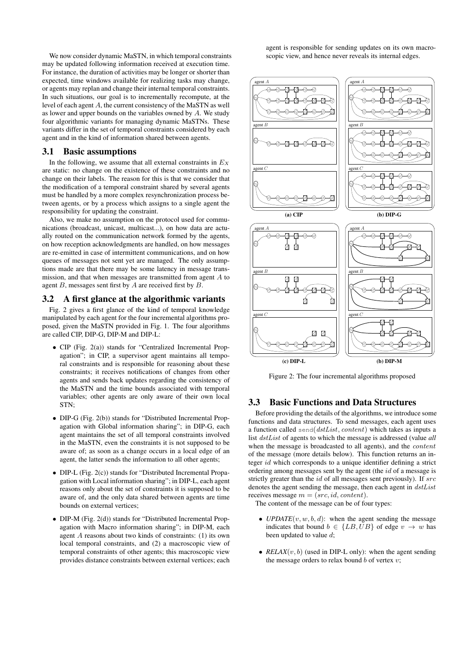We now consider dynamic MaSTN, in which temporal constraints may be updated following information received at execution time. For instance, the duration of activities may be longer or shorter than expected, time windows available for realizing tasks may change, or agents may replan and change their internal temporal constraints. In such situations, our goal is to incrementally recompute, at the level of each agent A, the current consistency of the MaSTN as well as lower and upper bounds on the variables owned by  $A$ . We study four algorithmic variants for managing dynamic MaSTNs. These variants differ in the set of temporal constraints considered by each agent and in the kind of information shared between agents.

#### 3.1 Basic assumptions

In the following, we assume that all external constraints in  $E_X$ are static: no change on the existence of these constraints and no change on their labels. The reason for this is that we consider that the modification of a temporal constraint shared by several agents must be handled by a more complex resynchronization process between agents, or by a process which assigns to a single agent the responsibility for updating the constraint.

Also, we make no assumption on the protocol used for communications (broadcast, unicast, multicast...), on how data are actually routed on the communication network formed by the agents, on how reception acknowledgments are handled, on how messages are re-emitted in case of intermittent communications, and on how queues of messages not sent yet are managed. The only assumptions made are that there may be some latency in message transmission, and that when messages are transmitted from agent A to agent  $B$ , messages sent first by  $A$  are received first by  $B$ .

#### 3.2 A first glance at the algorithmic variants

Fig. 2 gives a first glance of the kind of temporal knowledge manipulated by each agent for the four incremental algorithms proposed, given the MaSTN provided in Fig. 1. The four algorithms are called CIP, DIP-G, DIP-M and DIP-L:

- CIP (Fig. 2(a)) stands for "Centralized Incremental Propagation"; in CIP, a supervisor agent maintains all temporal constraints and is responsible for reasoning about these constraints; it receives notifications of changes from other agents and sends back updates regarding the consistency of the MaSTN and the time bounds associated with temporal variables; other agents are only aware of their own local STN;
- DIP-G (Fig. 2(b)) stands for "Distributed Incremental Propagation with Global information sharing"; in DIP-G, each agent maintains the set of all temporal constraints involved in the MaSTN, even the constraints it is not supposed to be aware of; as soon as a change occurs in a local edge of an agent, the latter sends the information to all other agents;
- DIP-L (Fig. 2(c)) stands for "Distributed Incremental Propagation with Local information sharing"; in DIP-L, each agent reasons only about the set of constraints it is supposed to be aware of, and the only data shared between agents are time bounds on external vertices;
- DIP-M (Fig. 2(d)) stands for "Distributed Incremental Propagation with Macro information sharing"; in DIP-M, each agent A reasons about two kinds of constraints: (1) its own local temporal constraints, and (2) a macroscopic view of temporal constraints of other agents; this macroscopic view provides distance constraints between external vertices; each

agent is responsible for sending updates on its own macroscopic view, and hence never reveals its internal edges.



Figure 2: The four incremental algorithms proposed

## 3.3 Basic Functions and Data Structures

Before providing the details of the algorithms, we introduce some functions and data structures. To send messages, each agent uses a function called send(dstList, content) which takes as inputs a list dstList of agents to which the message is addressed (value *all* when the message is broadcasted to all agents), and the *content* of the message (more details below). This function returns an integer id which corresponds to a unique identifier defining a strict ordering among messages sent by the agent (the id of a message is strictly greater than the  $id$  of all messages sent previously). If  $src$ denotes the agent sending the message, then each agent in dstList receives message  $m = (src, id, content).$ 

The content of the message can be of four types:

- *UPDATE* $(v, w, b, d)$ : when the agent sending the message indicates that bound  $b \in \{LB, UB\}$  of edge  $v \rightarrow w$  has been updated to value d;
- $RELAX(v, b)$  (used in DIP-L only): when the agent sending the message orders to relax bound  $b$  of vertex  $v$ ;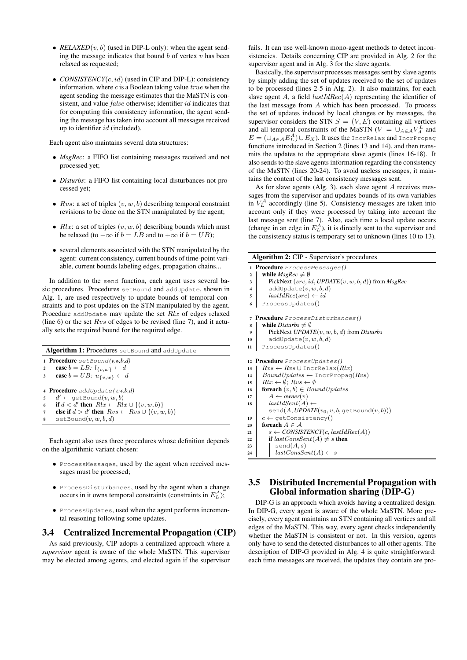- $RELAXED(v, b)$  (used in DIP-L only): when the agent sending the message indicates that bound  $b$  of vertex  $v$  has been relaxed as requested;
- *CONSISTENCY*(*c*, *id*) (used in CIP and DIP-L): consistency information, where  $c$  is a Boolean taking value  $true$  when the agent sending the message estimates that the MaSTN is consistent, and value *false* otherwise; identifier *id* indicates that for computing this consistency information, the agent sending the message has taken into account all messages received up to identifier  $id$  (included).

Each agent also maintains several data structures:

- *MsgRec*: a FIFO list containing messages received and not processed yet;
- *Disturbs*: a FIFO list containing local disturbances not processed yet;
- $Rvs:$  a set of triples  $(v, w, b)$  describing temporal constraint revisions to be done on the STN manipulated by the agent;
- $Rlx$ : a set of triples  $(v, w, b)$  describing bounds which must be relaxed (to  $-\infty$  if  $b = LB$  and to  $+\infty$  if  $b = UB$ );
- several elements associated with the STN manipulated by the agent: current consistency, current bounds of time-point variable, current bounds labeling edges, propagation chains...

In addition to the send function, each agent uses several basic procedures. Procedures setBound and addUpdate, shown in Alg. 1, are used respectively to update bounds of temporal constraints and to post updates on the STN manipulated by the agent. Procedure addUpdate may update the set  $Rlx$  of edges relaxed (line 6) or the set  $Rvs$  of edges to be revised (line 7), and it actually sets the required bound for the required edge.

|                  | <b>Algorithm 1: Procedures set Bound and addUpdate</b>                                                                                                                                                                                                   |  |  |  |  |
|------------------|----------------------------------------------------------------------------------------------------------------------------------------------------------------------------------------------------------------------------------------------------------|--|--|--|--|
|                  | <b>1 Procedure</b> $setBound(v, w, b, d)$                                                                                                                                                                                                                |  |  |  |  |
| 2                | case $b = LB: l_{\{v,w\}} \leftarrow d$                                                                                                                                                                                                                  |  |  |  |  |
| 3 <sup>1</sup>   | case $b = UB: u_{\{v,w\}} \leftarrow d$                                                                                                                                                                                                                  |  |  |  |  |
| 5<br>6<br>7<br>8 | 4 <b>Procedure</b> addUpdate( $(v, w, b, d)$<br>$d' \leftarrow \text{getBound}(v, w, b)$<br>if $d < d'$ then $Rlx \leftarrow Rlx \cup \{(v, w, b)\}$<br>else if $d > d'$ then $Rvs \leftarrow Rvs \cup \{(v, w, b)\}$<br>$\texttt{setBound}(v, w, b, d)$ |  |  |  |  |

Each agent also uses three procedures whose definition depends on the algorithmic variant chosen:

- ProcessMessages, used by the agent when received messages must be processed;
- ProcessDisturbances, used by the agent when a change occurs in it owns temporal constraints (constraints in  $E<sub>L</sub><sup>A</sup>$ );
- ProcessUpdates, used when the agent performs incremental reasoning following some updates.

# 3.4 Centralized Incremental Propagation (CIP)

As said previously, CIP adopts a centralized approach where a *supervisor* agent is aware of the whole MaSTN. This supervisor may be elected among agents, and elected again if the supervisor

fails. It can use well-known mono-agent methods to detect inconsistencies. Details concerning CIP are provided in Alg. 2 for the supervisor agent and in Alg. 3 for the slave agents.

Basically, the supervisor processes messages sent by slave agents by simply adding the set of updates received to the set of updates to be processed (lines 2-5 in Alg. 2). It also maintains, for each slave agent A, a field  $lastIdRec(A)$  representing the identifier of the last message from A which has been processed. To process the set of updates induced by local changes or by messages, the supervisor considers the STN  $S = (V, E)$  containing all vertices and all temporal constraints of the MaSTN ( $V = \bigcup_{A \in \mathcal{A}} V_A^L$  and  $E = (\cup_{A \in \mathcal{A}} E_A^A) \cup E_X).$  It uses the IncrRelax and IncrPropag functions introduced in Section 2 (lines 13 and 14), and then transmits the updates to the appropriate slave agents (lines 16-18). It also sends to the slave agents information regarding the consistency of the MaSTN (lines 20-24). To avoid useless messages, it maintains the content of the last consistency messages sent.

As for slave agents (Alg. 3), each slave agent A receives messages from the supervisor and updates bounds of its own variables in  $V_L^A$  accordingly (line 5). Consistency messages are taken into account only if they were processed by taking into account the last message sent (line 7). Also, each time a local update occurs (change in an edge in  $E_L^A$ ), it is directly sent to the supervisor and the consistency status is temporary set to unknown (lines 10 to 13).

|                         | <b>Algorithm 2: CIP - Supervisor's procedures</b>       |  |  |  |  |  |  |
|-------------------------|---------------------------------------------------------|--|--|--|--|--|--|
|                         | 1 Procedure ProcessMessages()                           |  |  |  |  |  |  |
| $\mathbf{2}$            | while $MsgRec \neq \emptyset$                           |  |  |  |  |  |  |
| 3                       | PickNext $(src, id, UPDATE(v, w, b, d))$ from $MsgRec$  |  |  |  |  |  |  |
| $\overline{\mathbf{4}}$ | addUpdate(v, w, b, d)                                   |  |  |  |  |  |  |
| 5                       | $lastIdRec(src) \leftarrow id$                          |  |  |  |  |  |  |
| 6                       | ProcessUpdates()                                        |  |  |  |  |  |  |
| 7                       | Procedure ProcessDisturbances()                         |  |  |  |  |  |  |
| 8                       | while <i>Disturbs</i> $\neq \emptyset$                  |  |  |  |  |  |  |
| 9                       | PickNext $UPDATE(v, w, b, d)$ from Disturbs             |  |  |  |  |  |  |
| 10                      | addUpdate $(v, w, b, d)$                                |  |  |  |  |  |  |
| 11                      | ProcessUpdates()                                        |  |  |  |  |  |  |
| 12                      | <b>Procedure</b> ProcessUpdates()                       |  |  |  |  |  |  |
| 13                      | $Rvs \leftarrow Rvs \cup \text{IncrRelax}(Rlx)$         |  |  |  |  |  |  |
| 14                      | $BoundUpdate \leftarrow \text{IncrPropag}(Rvs)$         |  |  |  |  |  |  |
| 15                      | $Rlx \leftarrow \emptyset$ ; $Rvs \leftarrow \emptyset$ |  |  |  |  |  |  |
| 16                      | <b>foreach</b> $(v, b) \in BoundUpdate$                 |  |  |  |  |  |  |
| 17                      | $A \leftarrow owner(v)$                                 |  |  |  |  |  |  |
| 18                      | $lastIdSent(A) \leftarrow$                              |  |  |  |  |  |  |
|                         | $send(A, UPDATE(v_0, v, b, getBound(v, b)))$            |  |  |  |  |  |  |
| 19                      | $c \leftarrow$ qetConsistency()                         |  |  |  |  |  |  |
| 20                      | foreach $A \in \mathcal{A}$                             |  |  |  |  |  |  |
| 21                      | $s \leftarrow CONSISTENCY(c, lastIdRec(A))$             |  |  |  |  |  |  |
| 22                      | if $lastConsSent(A) \neq s$ then                        |  |  |  |  |  |  |
| 23                      | send(A, s)                                              |  |  |  |  |  |  |
| 24                      | $lastConsSent(A) \leftarrow s$                          |  |  |  |  |  |  |

## 3.5 Distributed Incremental Propagation with Global information sharing (DIP-G)

DIP-G is an approach which avoids having a centralized design. In DIP-G, every agent is aware of the whole MaSTN. More precisely, every agent maintains an STN containing all vertices and all edges of the MaSTN. This way, every agent checks independently whether the MaSTN is consistent or not. In this version, agents only have to send the detected disturbances to all other agents. The description of DIP-G provided in Alg. 4 is quite straightforward: each time messages are received, the updates they contain are pro-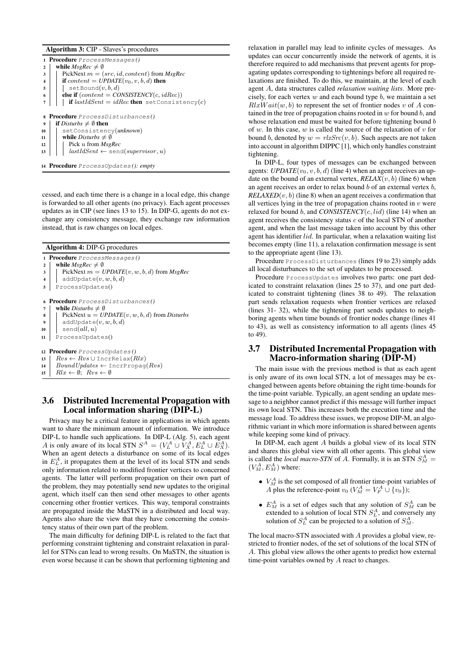## Algorithm 3: CIP - Slaves's procedures

|    | 1 <b>Procedure</b> ProcessMessages()                |  |  |  |  |  |  |  |
|----|-----------------------------------------------------|--|--|--|--|--|--|--|
| 2  | while $MsgRec \neq \emptyset$                       |  |  |  |  |  |  |  |
| 3  | PickNext $m = (src, id, content)$ from $MsgRec$     |  |  |  |  |  |  |  |
| 4  | if content = $UPDATE(v_0, v, b, d)$ then            |  |  |  |  |  |  |  |
| 5  | $\texttt{setBound}(v, b, d)$                        |  |  |  |  |  |  |  |
| 6  | <b>else if</b> $(content = CONSISTENCY(c, idRec))$  |  |  |  |  |  |  |  |
|    | <b>if</b> lastIdSent = idRec then setConsistency(c) |  |  |  |  |  |  |  |
|    |                                                     |  |  |  |  |  |  |  |
|    | 8 <b>Procedure</b> ProcessDisturbances()            |  |  |  |  |  |  |  |
| 9  | <b>if</b> Disturbs $\neq \emptyset$ then            |  |  |  |  |  |  |  |
| 10 | setConsistency(unknown)                             |  |  |  |  |  |  |  |
| 11 | while <i>Disturbs</i> $\neq \emptyset$              |  |  |  |  |  |  |  |
| 12 | Pick u from MsgRec                                  |  |  |  |  |  |  |  |
| 13 | $lastIdSent \leftarrow$ send(supervisor, u)         |  |  |  |  |  |  |  |
|    |                                                     |  |  |  |  |  |  |  |

<sup>14</sup> Procedure ProcessUpdates *(): empty*

cessed, and each time there is a change in a local edge, this change is forwarded to all other agents (no privacy). Each agent processes updates as in CIP (see lines 13 to 15). In DIP-G, agents do not exchange any consistency message, they exchange raw information instead, that is raw changes on local edges.

|                                      | <b>Algorithm 4: DIP-G procedures</b>                    |  |  |  |  |  |  |  |
|--------------------------------------|---------------------------------------------------------|--|--|--|--|--|--|--|
|                                      | 1 <b>Procedure</b> ProcessMessages()                    |  |  |  |  |  |  |  |
| $\mathbf{2}$                         | while $MsgRec \neq \emptyset$                           |  |  |  |  |  |  |  |
| 3                                    | PickNext $m = UPDATE(v, w, b, d)$ from MsgRec           |  |  |  |  |  |  |  |
| 4                                    | addUpdate(v, w, b, d)                                   |  |  |  |  |  |  |  |
| 5                                    | ProcessUpdates()                                        |  |  |  |  |  |  |  |
|                                      | 6 <b>Procedure</b> ProcessDisturbances()                |  |  |  |  |  |  |  |
| 7                                    | while <i>Disturbs</i> $\neq \emptyset$                  |  |  |  |  |  |  |  |
| 8                                    | PickNext $u = UPDATE(v, w, b, d)$ from Disturbs         |  |  |  |  |  |  |  |
| 9                                    | addUpdate(v, w, b, d)                                   |  |  |  |  |  |  |  |
| 10                                   | send(all, u)                                            |  |  |  |  |  |  |  |
| 11                                   | ProcessUpdates()                                        |  |  |  |  |  |  |  |
| 12 <b>Procedure</b> ProcessUpdates() |                                                         |  |  |  |  |  |  |  |
| 13                                   | $Rvs \leftarrow Rvs \cup \text{IncrRelax}(Rlx)$         |  |  |  |  |  |  |  |
| 14                                   | $BoundUpdate \leftarrow \text{IncrPropag}(Rvs)$         |  |  |  |  |  |  |  |
| 15                                   | $Rlx \leftarrow \emptyset$ ; $Rvs \leftarrow \emptyset$ |  |  |  |  |  |  |  |

## 3.6 Distributed Incremental Propagation with Local information sharing (DIP-L)

Privacy may be a critical feature in applications in which agents want to share the minimum amount of information. We introduce DIP-L to handle such applications. In DIP-L (Alg. 5), each agent A is only aware of its local STN  $S^A = (V_L^A \cup V_X^A, E_L^A \cup E_X^A)$ . When an agent detects a disturbance on some of its local edges in  $E<sub>L</sub><sup>A</sup>$ , it propagates them at the level of its local STN and sends only information related to modified frontier vertices to concerned agents. The latter will perform propagation on their own part of the problem, they may potentially send new updates to the original agent, which itself can then send other messages to other agents concerning other frontier vertices. This way, temporal constraints are propagated inside the MaSTN in a distributed and local way. Agents also share the view that they have concerning the consistency status of their own part of the problem.

The main difficulty for defining DIP-L is related to the fact that performing constraint tightening and constraint relaxation in parallel for STNs can lead to wrong results. On MaSTN, the situation is even worse because it can be shown that performing tightening and

relaxation in parallel may lead to infinite cycles of messages. As updates can occur concurrently inside the network of agents, it is therefore required to add mechanisms that prevent agents for propagating updates corresponding to tightenings before all required relaxations are finished. To do this, we maintain, at the level of each agent A, data structures called *relaxation waiting lists*. More precisely, for each vertex  $w$  and each bound type  $b$ , we maintain a set  $RlxWait(w, b)$  to represent the set of frontier nodes v of A contained in the tree of propagation chains rooted in  $w$  for bound  $b$ , and whose relaxation end must be waited for before tightening bound b of w. In this case,  $w$  is called the source of the relaxation of  $v$  for bound b, denoted by  $w = r \, k \cdot S \, r \cdot (v, b)$ . Such aspects are not taken into account in algorithm DIPPC [1], which only handles constraint tightening.

In DIP-L, four types of messages can be exchanged between agents: *UPDATE* $(v_0, v, b, d)$  (line 4) when an agent receives an update on the bound of an external vertex,  $RELAX(v, b)$  (line 6) when an agent receives an order to relax bound  $b$  of an external vertex  $b$ .  $RELAXED(v, b)$  (line 8) when an agent receives a confirmation that all vertices lying in the tree of propagation chains rooted in  $v$  were relaxed for bound b, and *CONSISTENCY*( $c$ , *lid*) (line 14) when an agent receives the consistency status  $c$  of the local STN of another agent, and when the last message taken into account by this other agent has identifier lid. In particular, when a relaxation waiting list becomes empty (line 11), a relaxation confirmation message is sent to the appropriate agent (line 13).

Procedure ProcessDisturbances (lines 19 to 23) simply adds all local disturbances to the set of updates to be processed.

Procedure ProcessUpdates involves two parts: one part dedicated to constraint relaxation (lines 25 to 37), and one part dedicated to constraint tightening (lines 38 to 49). The relaxation part sends relaxation requests when frontier vertices are relaxed (lines 31- 32), while the tightening part sends updates to neighboring agents when time bounds of frontier nodes change (lines 41 to 43), as well as consistency information to all agents (lines 45 to 49).

#### 3.7 Distributed Incremental Propagation with Macro-information sharing (DIP-M)

The main issue with the previous method is that as each agent is only aware of its own local STN, a lot of messages may be exchanged between agents before obtaining the right time-bounds for the time-point variable. Typically, an agent sending an update message to a neighbor cannot predict if this message will further impact its own local STN. This increases both the execution time and the message load. To address these issues, we propose DIP-M, an algorithmic variant in which more information is shared between agents while keeping some kind of privacy.

In DIP-M, each agent A builds a global view of its local STN and shares this global view with all other agents. This global view is called the *local macro-STN* of A. Formally, it is an STN  $S_M^A$  =  $(V_M^A, E_M^A)$  where:

- $\bullet$   $V_M^A$  is the set composed of all frontier time-point variables of A plus the reference-point  $v_0$  ( $V_M^A = V_F^A \cup \{v_0\}$ );
- $E_M^A$  is a set of edges such that any solution of  $S_M^A$  can be extended to a solution of local STN  $S_L^A$ , and conversely any solution of  $S_L^A$  can be projected to a solution of  $S_M^A$ .

The local macro-STN associated with A provides a global view, restricted to frontier nodes, of the set of solutions of the local STN of A. This global view allows the other agents to predict how external time-point variables owned by A react to changes.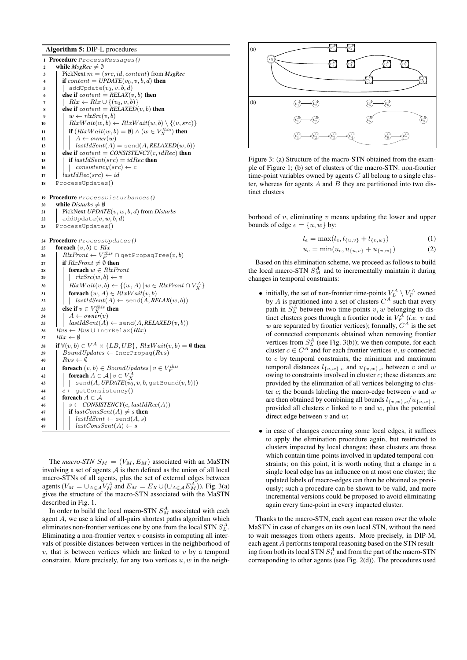## Algorithm 5: DIP-L procedures

<sup>1</sup> Procedure ProcessMessages *()* 2 while  $MseRec \neq \emptyset$  $\Box$  PickNext  $m = (src, id, content)$  from *MsgRec* 4 if  $content = UPDATE(v_0, v, b, d)$  then<br>  $\begin{bmatrix} 1 \\ 5 \end{bmatrix}$  addUpdate $(v_0, v, b, d)$ addUpdate $(v_0, v, b, d)$ 6 **else if**  $content = RELAX(v, b)$  then  $\begin{array}{c}\n7 \\
\bullet \quad \quad \mid \quad \quad \text{R}lx \leftarrow \text{R}lx \cup \{(v_0, v, b)\} \\
\bullet \quad \quad \text{else if content} = \text{RELAXED}\n\end{array}$ else if  $content = RELAXED(v, b)$  then  $w \leftarrow \text{rlx}Src(v, b)$ 10 | |  $RlxWait(w, b) \leftarrow RlxWait(w, b) \setminus \{(v, src)\}$ 11  $\begin{array}{|c|c|} \hline \end{array}$  if  $(RlxWait(w, b) = \emptyset) \wedge (w \in V_X^{this})$  then 12  $| \cdot | \cdot | \cdot A \leftarrow owner(w)$  $13 \mid |\cdot|$   $lastIdSent(\overline{A}) = send(A, RELAXED(w, b))$ 14 **else if**  $content = CONSISTENCY(c, idRec)$  then 15 **if** last  $IdSent(src) = idRec$  then 16 | | consistency(src)  $\leftarrow c$  $17$  | lastIdRec(src)  $\leftarrow id$ <sup>18</sup> ProcessUpdates() <sup>19</sup> Procedure ProcessDisturbances *()* 20 while *Disturbs*  $\neq$  Ø <sup>21</sup> PickNext *UPDATE*(v, w, b, d) from *Disturbs* 22 dddUpdate $(v, w, b, d)$ 23 ProcessUpdates() <sup>24</sup> Procedure ProcessUpdates *()* 25 **foreach**  $(v, b) \in Rlx$  $\mathsf{26} \ \ \big| \ \ \big| \ \ \textit{RlxFront} \gets V_F^{\textit{this}} \cap \text{getPropagTree}(v, b)$ 27 if  $RlxFront \neq \emptyset$  then 28 **foreach**  $w \in R \&\text{Front}$ 29 | | |  $rlxSrc(w, b) \leftarrow v$ 30  $\left| \begin{array}{c} \end{array} \right|$   $\left| \begin{array}{c} RlxWait(v,b) \leftarrow \{(w,A) \, | \, w \in RlxFront \cap V_X^A \} \end{array} \right|$ 31 **foreach**  $(w, A) \in RlxWait(v, b)$  $32 \mid \cdot \mid \cdot \mid lastIdSent(A) \leftarrow send(A, RELAX(w, b))$ 33  $\Big|$  else if  $v \in V_X^{this}$  then  $34 \mid \cdot \mid A \leftarrow owner(v)$  $35$  | |  $lastIdSent(A) \leftarrow send(A, RELAXED(v, b))$ 36  $Rvs \leftarrow Rvs \cup \text{IncrRelax}(Rlx)$  $37 \mid Rlx \leftarrow \emptyset$ 38  $\left| \right. \textbf{ if } \forall (v,b) \in V^{A} \times \{LB,UB\}, \, RlxWait(v,b) = \emptyset \textbf{ then }$ 39 | BoundUpdates ← IncrPropag $(Rvs)$ 40 |  $Rvs \leftarrow \emptyset$ 41 **foreach**  $(v, b) \in BoundUp dates \mid v \in V_F^{this}$ 42  $\begin{array}{|c|c|} \hline \end{array} \begin{array}{|c|c|} \hline \end{array} \begin{array}{|c|c|} \hline \end{array} \begin{array}{|c|c|} \hline \end{array} \begin{array}{|c|c|} \hline \end{array} \begin{array}{|c|c|} \hline \end{array} \begin{array}{|c|c|} \hline \end{array} \begin{array}{|c|c|} \hline \end{array} \begin{array}{|c|c|} \hline \end{array} \begin{array}{|c|c|} \hline \end{array} \begin{array}{|c|c|} \hline \end{array} \begin{array}{|c|$ 44  $c \leftarrow \text{getConsistency}()$ 45 **foreach**  $A \in \mathcal{A}$  $\leftarrow \left\{ \begin{array}{c} \mid & s \leftarrow \text{CONSISTENCY}(c, lastIdRec(A)) \end{array} \right\}$ 47 if last ConsSent(A)  $\neq$  s then  $\{48 \mid |\cdot| \text{ lastIdSent} \leftarrow \text{send}(A, s)$ 49 | | |  $lastConsSent(A) \leftarrow s$ 

The *macro-STN*  $S_M = (V_M, E_M)$  associated with an MaSTN involving a set of agents  $\overrightarrow{A}$  is then defined as the union of all local macro-STNs of all agents, plus the set of external edges between agents ( $V_M = \bigcup_{A \in \mathcal{A}} V_M^A$  and  $E_M = E_X \cup (\bigcup_{A \in \mathcal{A}} E_M^A)$ ). Fig. 3(a) gives the structure of the macro-STN associated with the MaSTN described in Fig. 1.

In order to build the local macro-STN  $S_M^A$  associated with each agent A, we use a kind of all-pairs shortest paths algorithm which eliminates non-frontier vertices one by one from the local STN  $S_L^A$ . Eliminating a non-frontier vertex  $v$  consists in computing all intervals of possible distances between vertices in the neighborhood of  $v$ , that is between vertices which are linked to  $v$  by a temporal constraint. More precisely, for any two vertices  $u, w$  in the neigh-



Figure 3: (a) Structure of the macro-STN obtained from the example of Figure 1; (b) set of clusters of the macro-STN: non-frontier time-point variables owned by agents  $C$  all belong to a single cluster, whereas for agents  $A$  and  $B$  they are partitioned into two distinct clusters

borhood of  $v$ , eliminating  $v$  means updating the lower and upper bounds of edge  $e = \{u, w\}$  by:

$$
l_e = \max(l_e, l_{\{u,v\}} + l_{\{v,w\}})
$$
 (1)

$$
u_e = \min(u_e, u_{\{u,v\}} + u_{\{v,w\}}) \tag{2}
$$

Based on this elimination scheme, we proceed as follows to build the local macro-STN  $S_M^A$  and to incrementally maintain it during changes in temporal constraints:

- initially, the set of non-frontier time-points  $V_L^A \setminus V_F^A$  owned by A is partitioned into a set of clusters  $C^A$  such that every path in  $S_L^A$  between two time-points  $v, w$  belonging to distinct clusters goes through a frontier node in  $V_F^A$  (*i.e.* v and w are separated by frontier vertices); formally,  $C^A$  is the set of connected components obtained when removing frontier vertices from  $S_L^A$  (see Fig. 3(b)); we then compute, for each cluster  $c \in C^A$  and for each frontier vertices  $v, w$  connected to  $c$  by temporal constraints, the minimum and maximum temporal distances  $l_{\{v,w\},c}$  and  $u_{\{v,w\},c}$  between v and w owing to constraints involved in cluster c; these distances are provided by the elimination of all vertices belonging to cluster  $c$ ; the bounds labeling the macro-edge between  $v$  and  $w$ are then obtained by combining all bounds  $l_{\{v,w\},c}/u_{\{v,w\},c}$ provided all clusters  $c$  linked to  $v$  and  $w$ , plus the potential direct edge between  $v$  and  $w$ ;
- in case of changes concerning some local edges, it suffices to apply the elimination procedure again, but restricted to clusters impacted by local changes; these clusters are those which contain time-points involved in updated temporal constraints; on this point, it is worth noting that a change in a single local edge has an influence on at most one cluster; the updated labels of macro-edges can then be obtained as previously; such a procedure can be shown to be valid, and more incremental versions could be proposed to avoid eliminating again every time-point in every impacted cluster.

Thanks to the macro-STN, each agent can reason over the whole MaSTN in case of changes on its own local STN, without the need to wait messages from others agents. More precisely, in DIP-M, each agent A performs temporal reasoning based on the STN resulting from both its local STN  $S_L^A$  and from the part of the macro-STN corresponding to other agents (see Fig. 2(d)). The procedures used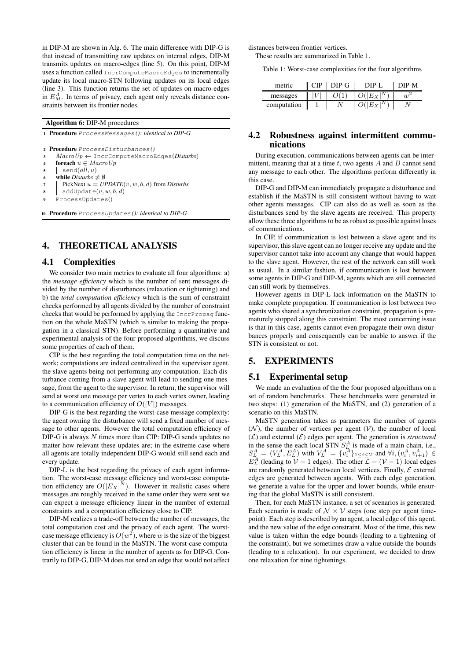in DIP-M are shown in Alg. 6. The main difference with DIP-G is that instead of transmitting raw updates on internal edges, DIP-M transmits updates on macro-edges (line 5). On this point, DIP-M uses a function called IncrComputeMacroEdges to incrementally update its local macro-STN following updates on its local edges (line 3). This function returns the set of updates on macro-edges in  $E_M^A$ . In terms of privacy, each agent only reveals distance constraints between its frontier nodes.

Algorithm 6: DIP-M procedures

<sup>1</sup> Procedure ProcessMessages *(): identical to DIP-G*

- <sup>3</sup> MacroUp ← IncrComputeMacroEdges(*Disturbs*)
- 4 foreach  $u \in MacroUp$
- $5 \mid$  send(all, u)
- 6 **while** *Disturbs*  $\neq \emptyset$
- $7 \mid$  PickNext  $u = UPDATE(v, w, b, d)$  from *Disturbs*
- $\mathbf{s}$  | addUpdate $(v, w, b, d)$
- <sup>9</sup> ProcessUpdates()

<sup>10</sup> Procedure ProcessUpdates *(): identical to DIP-G*

## 4. THEORETICAL ANALYSIS

#### 4.1 Complexities

We consider two main metrics to evaluate all four algorithms: a) the *message efficiency* which is the number of sent messages divided by the number of disturbances (relaxation or tightening) and b) the *total computation efficiency* which is the sum of constraint checks performed by all agents divided by the number of constraint checks that would be performed by applying the IncrPropag function on the whole MaSTN (which is similar to making the propagation in a classical STN). Before performing a quantitative and experimental analysis of the four proposed algorithms, we discuss some properties of each of them.

CIP is the best regarding the total computation time on the network; computations are indeed centralized in the supervisor agent, the slave agents being not performing any computation. Each disturbance coming from a slave agent will lead to sending one message, from the agent to the supervisor. In return, the supervisor will send at worst one message per vertex to each vertex owner, leading to a communication efficiency of  $O(|V|)$  messages.

DIP-G is the best regarding the worst-case message complexity: the agent owning the disturbance will send a fixed number of message to other agents. However the total computation efficiency of DIP-G is always  $N$  times more than CIP: DIP-G sends updates no matter how relevant these updates are; in the extreme case where all agents are totally independent DIP-G would still send each and every update.

DIP-L is the best regarding the privacy of each agent information. The worst-case message efficiency and worst-case computation efficiency are  $O(|E_X|^N)$ . However in realistic cases where messages are roughly received in the same order they were sent we can expect a message efficiency linear in the number of external constraints and a computation efficiency close to CIP.

DIP-M realizes a trade-off between the number of messages, the total computation cost and the privacy of each agent. The worstcase message efficiency is  $O(w^2)$ , where w is the size of the biggest cluster that can be found in the MaSTN. The worst-case computation efficiency is linear in the number of agents as for DIP-G. Contrarily to DIP-G, DIP-M does not send an edge that would not affect

distances between frontier vertices.

These results are summarized in Table 1.

Table 1: Worst-case complexities for the four algorithms

| metric      | $DIP-G$ | DIP-I | M-5M |
|-------------|---------|-------|------|
| messages    |         |       |      |
| computation |         |       |      |

## 4.2 Robustness against intermittent communications

During execution, communications between agents can be intermittent, meaning that at a time  $t$ , two agents  $A$  and  $B$  cannot send any message to each other. The algorithms perform differently in this case.

DIP-G and DIP-M can immediately propagate a disturbance and establish if the MaSTN is still consistent without having to wait other agents messages. CIP can also do as well as soon as the disturbances send by the slave agents are received. This property allow these three algorithms to be as robust as possible against loses of communications.

In CIP, if communication is lost between a slave agent and its supervisor, this slave agent can no longer receive any update and the supervisor cannot take into account any change that would happen to the slave agent. However, the rest of the network can still work as usual. In a similar fashion, if communication is lost between some agents in DIP-G and DIP-M, agents which are still connected can still work by themselves.

However agents in DIP-L lack information on the MaSTN to make complete propagation. If communication is lost between two agents who shared a synchronization constraint, propagation is prematurely stopped along this constraint. The most concerning issue is that in this case, agents cannot even propagate their own disturbances properly and consequently can be unable to answer if the STN is consistent or not.

#### 5. EXPERIMENTS

#### 5.1 Experimental setup

We made an evaluation of the the four proposed algorithms on a set of random benchmarks. These benchmarks were generated in two steps: (1) generation of the MaSTN, and (2) generation of a scenario on this MaSTN.

MaSTN generation takes as parameters the number of agents  $(N)$ , the number of vertices per agent  $(V)$ , the number of local  $(\mathcal{L})$  and external  $(\mathcal{E})$  edges per agent. The generation is *structured* in the sense the each local STN  $S_L^A$  is made of a main chain, i.e.,  $S_{L}^{A} = (V_{L}^{A}, E_{L}^{A})$  with  $V_{L}^{A} = \{v_{i}^{A}\}_{1 \leq i \leq \mathcal{V}}$  and  $\forall i, (v_{i}^{A}, v_{i+1}^{A}) \in$  $E_L^A$  (leading to  $\mathcal{V} - 1$  edges). The other  $\mathcal{L} - (\mathcal{V} - 1)$  local edges are randomly generated between local vertices. Finally,  $\mathcal E$  external edges are generated between agents. With each edge generation, we generate a value for the upper and lower bounds, while ensuring that the global MaSTN is still consistent.

Then, for each MaSTN instance, a set of scenarios is generated. Each scenario is made of  $\mathcal{N} \times \mathcal{V}$  steps (one step per agent timepoint). Each step is described by an agent, a local edge of this agent, and the new value of the edge constraint. Most of the time, this new value is taken within the edge bounds (leading to a tightening of the constraint), but we sometimes draw a value outside the bounds (leading to a relaxation). In our experiment, we decided to draw one relaxation for nine tightenings.

<sup>2</sup> Procedure ProcessDisturbances *()*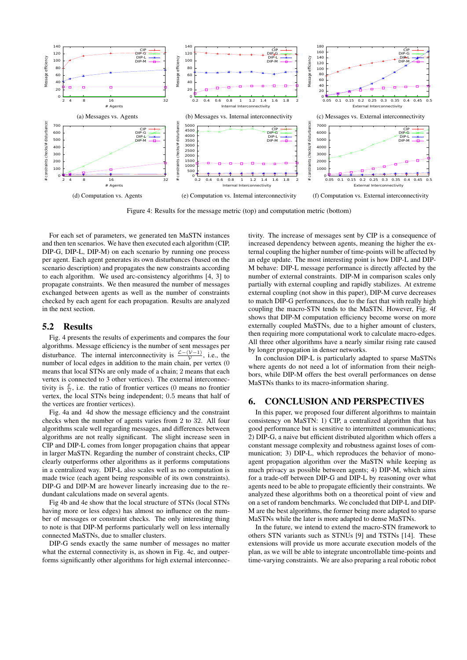

Figure 4: Results for the message metric (top) and computation metric (bottom)

For each set of parameters, we generated ten MaSTN instances and then ten scenarios. We have then executed each algorithm (CIP, DIP-G, DIP-L, DIP-M) on each scenario by running one process per agent. Each agent generates its own disturbances (based on the scenario description) and propagates the new constraints according to each algorithm. We used arc-consistency algorithms [4, 3] to propagate constraints. We then measured the number of messages exchanged between agents as well as the number of constraints checked by each agent for each propagation. Results are analyzed in the next section.

#### 5.2 Results

Fig. 4 presents the results of experiments and compares the four algorithms. Message efficiency is the number of sent messages per disturbance. The internal interconnectivity is  $\frac{\mathcal{L}-(\mathcal{V}-1)}{\mathcal{V}}$ , i.e., the number of local edges in addition to the main chain, per vertex (0 means that local STNs are only made of a chain; 2 means that each vertex is connected to 3 other vertices). The external interconnectivity is  $\frac{\varepsilon}{\mathcal{V}}$ , i.e. the ratio of frontier vertices (0 means no frontier vertex, the local STNs being independent; 0.5 means that half of the vertices are frontier vertices).

Fig. 4a and 4d show the message efficiency and the constraint checks when the number of agents varies from 2 to 32. All four algorithms scale well regarding messages, and differences between algorithms are not really significant. The slight increase seen in CIP and DIP-L comes from longer propagation chains that appear in larger MaSTN. Regarding the number of constraint checks, CIP clearly outperforms other algorithms as it performs computations in a centralized way. DIP-L also scales well as no computation is made twice (each agent being responsible of its own constraints). DIP-G and DIP-M are however linearly increasing due to the redundant calculations made on several agents.

Fig 4b and 4e show that the local structure of STNs (local STNs having more or less edges) has almost no influence on the number of messages or constraint checks. The only interesting thing to note is that DIP-M performs particularly well on less internally connected MaSTNs, due to smaller clusters.

DIP-G sends exactly the same number of messages no matter what the external connectivity is, as shown in Fig. 4c, and outperforms significantly other algorithms for high external interconnectivity. The increase of messages sent by CIP is a consequence of increased dependency between agents, meaning the higher the external coupling the higher number of time-points will be affected by an edge update. The most interesting point is how DIP-L and DIP-M behave: DIP-L message performance is directly affected by the number of external constraints. DIP-M in comparison scales only partially with external coupling and rapidly stabilizes. At extreme external coupling (not show in this paper), DIP-M curve decreases to match DIP-G performances, due to the fact that with really high coupling the macro-STN tends to the MaSTN. However, Fig. 4f shows that DIP-M computation efficiency become worse on more externally coupled MaSTNs, due to a higher amount of clusters, then requiring more computational work to calculate macro-edges. All three other algorithms have a nearly similar rising rate caused by longer propagation in denser networks.

In conclusion DIP-L is particularly adapted to sparse MaSTNs where agents do not need a lot of information from their neighbors, while DIP-M offers the best overall performances on dense MaSTNs thanks to its macro-information sharing.

## 6. CONCLUSION AND PERSPECTIVES

In this paper, we proposed four different algorithms to maintain consistency on MaSTN: 1) CIP, a centralized algorithm that has good performance but is sensitive to intermittent communications; 2) DIP-G, a naive but efficient distributed algorithm which offers a constant message complexity and robustness against loses of communication; 3) DIP-L, which reproduces the behavior of monoagent propagation algorithm over the MaSTN while keeping as much privacy as possible between agents; 4) DIP-M, which aims for a trade-off between DIP-G and DIP-L by reasoning over what agents need to be able to propagate efficiently their constraints. We analyzed these algorithms both on a theoretical point of view and on a set of random benchmarks. We concluded that DIP-L and DIP-M are the best algorithms, the former being more adapted to sparse MaSTNs while the later is more adapted to dense MaSTNs.

In the future, we intend to extend the macro-STN framework to others STN variants such as STNUs [9] and TSTNs [14]. These extensions will provide us more accurate execution models of the plan, as we will be able to integrate uncontrollable time-points and time-varying constraints. We are also preparing a real robotic robot